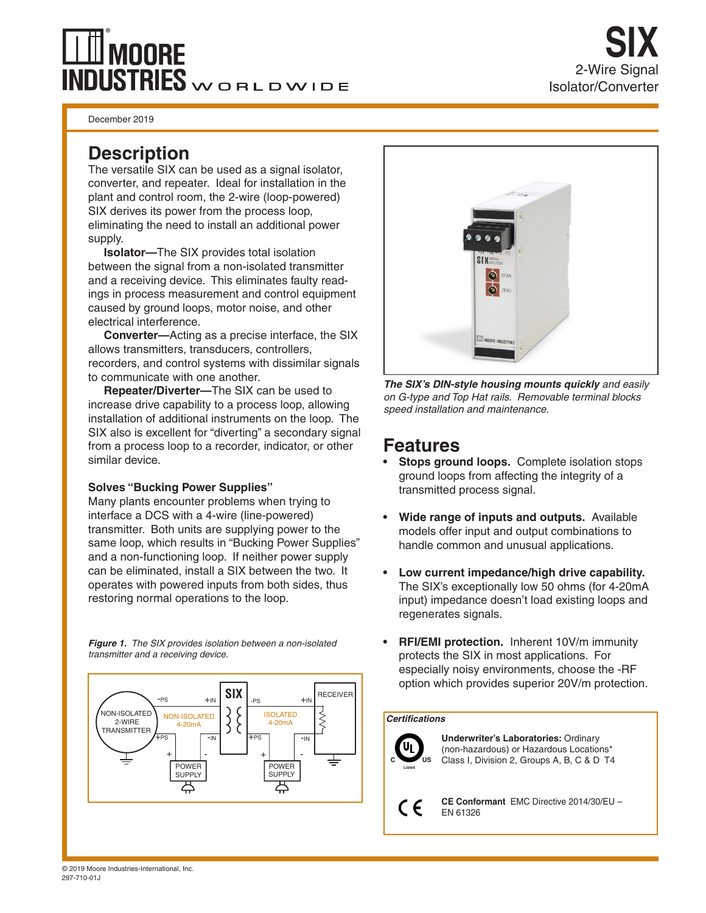# **MOORE**  $\overline{\text{NDUSTRIES}}$ WORLDWIDE

December 2019

The versatile SIX can be used as a signal isolator, converter, and repeater. Ideal for installation in the plant and control room, the 2-wire (loop-powered) SIX derives its power from the process loop, eliminating the need to install an additional power supply.

**Isolator—**The SIX provides total isolation between the signal from a non-isolated transmitter and a receiving device. This eliminates faulty readings in process measurement and control equipment caused by ground loops, motor noise, and other electrical interference.

**Converter—**Acting as a precise interface, the SIX allows transmitters, transducers, controllers, recorders, and control systems with dissimilar signals to communicate with one another.

**Repeater/Diverter—**The SIX can be used to increase drive capability to a process loop, allowing installation of additional instruments on the loop. The SIX also is excellent for "diverting" a secondary signal from a process loop to a recorder, indicator, or other similar device.

### **Solves "Bucking Power Supplies"**

Many plants encounter problems when trying to interface a DCS with a 4-wire (line-powered) transmitter. Both units are supplying power to the same loop, which results in "Bucking Power Supplies" and a non-functioning loop. If neither power supply can be eliminated, install a SIX between the two. It operates with powered inputs from both sides, thus restoring normal operations to the loop.

*Figure 1. The SIX provides isolation between a non-isolated transmitter and a receiving device*.





*The SIX's DIN-style housing mounts quickly and easily on G-type and Top Hat rails. Removable terminal blocks speed installation and maintenance.* 

## **Features**

- **• Stops ground loops.** Complete isolation stops ground loops from affecting the integrity of a transmitted process signal.
- **• Wide range of inputs and outputs.** Available models offer input and output combinations to handle common and unusual applications.
- **• Low current impedance/high drive capability.** The SIX's exceptionally low 50 ohms (for 4-20mA input) impedance doesn't load existing loops and regenerates signals.
- **• RFI/EMI protection.** Inherent 10V/m immunity protects the SIX in most applications. For especially noisy environments, choose the -RF option which provides superior 20V/m protection.